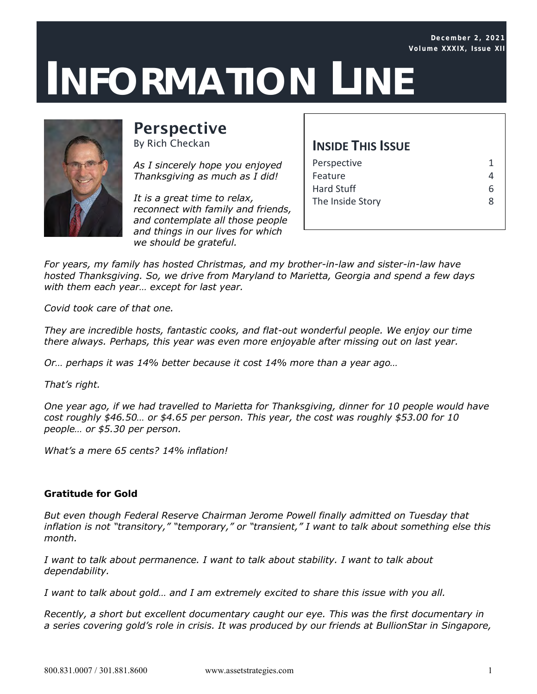## .87  $\Lambda$  TI **INFORMATION LINE**



# **Perspective**

By Rich Checkan

*As I sincerely hope you enjoyed Thanksgiving as much as I did!*

*It is a great time to relax, reconnect with family and friends, and contemplate all those people and things in our lives for which we should be grateful.*

### **INSIDE THIS ISSUE**

| Perspective       |  |
|-------------------|--|
| Feature           |  |
| <b>Hard Stuff</b> |  |
| The Inside Story  |  |
|                   |  |

*For years, my family has hosted Christmas, and my brother-in-law and sister-in-law have hosted Thanksgiving. So, we drive from Maryland to Marietta, Georgia and spend a few days with them each year… except for last year.*

*Covid took care of that one.*

*They are incredible hosts, fantastic cooks, and flat-out wonderful people. We enjoy our time there always. Perhaps, this year was even more enjoyable after missing out on last year.*

*Or… perhaps it was 14% better because it cost 14% more than a year ago…*

*That's right.*

*One year ago, if we had travelled to Marietta for Thanksgiving, dinner for 10 people would have cost roughly \$46.50… or \$4.65 per person. This year, the cost was roughly \$53.00 for 10 people… or \$5.30 per person.*

*What's a mere 65 cents? 14% inflation!*

#### *Gratitude for Gold*

*But even though Federal Reserve Chairman Jerome Powell finally admitted on Tuesday that inflation is not "transitory," "temporary," or "transient," I want to talk about something else this month.*

*I want to talk about permanence. I want to talk about stability. I want to talk about dependability.*

*I want to talk about gold… and I am extremely excited to share this issue with you all.*

*Recently, a short but excellent documentary caught our eye. This was the first documentary in a series covering gold's role in crisis. It was produced by our friends at BullionStar in Singapore,*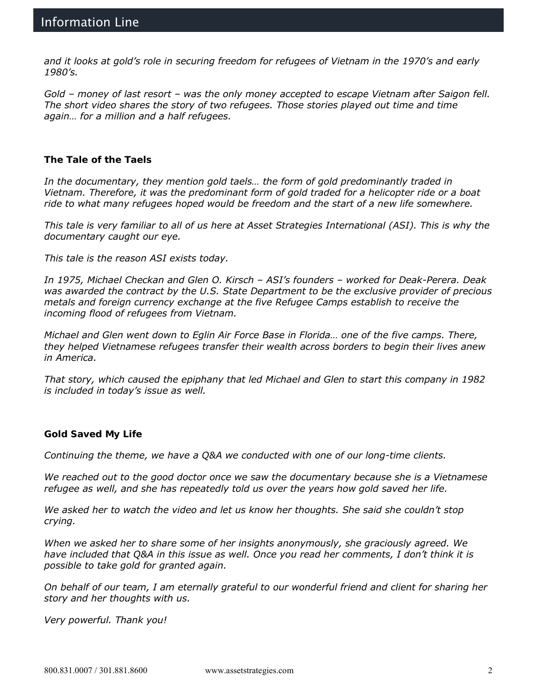*and it looks at gold's role in securing freedom for refugees of Vietnam in the 1970's and early 1980's.*

*Gold – money of last resort – was the only money accepted to escape Vietnam after Saigon fell. The short video shares the story of two refugees. Those stories played out time and time again… for a million and a half refugees.*

*The Tale of the Taels*

*In the documentary, they mention gold taels… the form of gold predominantly traded in Vietnam. Therefore, it was the predominant form of gold traded for a helicopter ride or a boat ride to what many refugees hoped would be freedom and the start of a new life somewhere.*

*This tale is very familiar to all of us here at Asset Strategies International (ASI). This is why the documentary caught our eye.*

*This tale is the reason ASI exists today.*

*In 1975, Michael Checkan and Glen O. Kirsch – ASI's founders – worked for Deak-Perera. Deak was awarded the contract by the U.S. State Department to be the exclusive provider of precious metals and foreign currency exchange at the five Refugee Camps establish to receive the incoming flood of refugees from Vietnam.*

*Michael and Glen went down to Eglin Air Force Base in Florida… one of the five camps. There, they helped Vietnamese refugees transfer their wealth across borders to begin their lives anew in America.*

*That story, which caused the epiphany that led Michael and Glen to start this company in 1982 is included in today's issue as well.*

*Gold Saved My Life*

*Continuing the theme, we have a Q&A we conducted with one of our long-time clients.*

*We reached out to the good doctor once we saw the documentary because she is a Vietnamese refugee as well, and she has repeatedly told us over the years how gold saved her life.*

*We asked her to watch the video and let us know her thoughts. She said she couldn't stop crying.*

*When we asked her to share some of her insights anonymously, she graciously agreed. We have included that Q&A in this issue as well. Once you read her comments, I don't think it is possible to take gold for granted again.*

*On behalf of our team, I am eternally grateful to our wonderful friend and client for sharing her story and her thoughts with us.*

*Very powerful. Thank you!*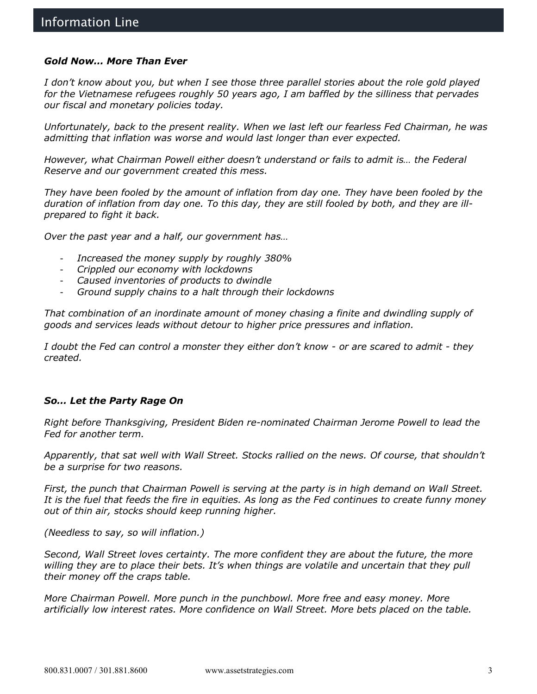#### *Gold Now… More Than Ever*

*I don't know about you, but when I see those three parallel stories about the role gold played for the Vietnamese refugees roughly 50 years ago, I am baffled by the silliness that pervades our fiscal and monetary policies today.*

*Unfortunately, back to the present reality. When we last left our fearless Fed Chairman, he was admitting that inflation was worse and would last longer than ever expected.*

*However, what Chairman Powell either doesn't understand or fails to admit is… the Federal Reserve and our government created this mess.*

*They have been fooled by the amount of inflation from day one. They have been fooled by the duration of inflation from day one. To this day, they are still fooled by both, and they are illprepared to fight it back.*

*Over the past year and a half, our government has…*

- *Increased the money supply by roughly 380%*
- *Crippled our economy with lockdowns*
- *Caused inventories of products to dwindle*
- *Ground supply chains to a halt through their lockdowns*

*That combination of an inordinate amount of money chasing a finite and dwindling supply of goods and services leads without detour to higher price pressures and inflation.*

*I doubt the Fed can control a monster they either don't know - or are scared to admit - they created.*

#### *So… Let the Party Rage On*

*Right before Thanksgiving, President Biden re-nominated Chairman Jerome Powell to lead the Fed for another term.*

*Apparently, that sat well with Wall Street. Stocks rallied on the news. Of course, that shouldn't be a surprise for two reasons.*

*First, the punch that Chairman Powell is serving at the party is in high demand on Wall Street. It is the fuel that feeds the fire in equities. As long as the Fed continues to create funny money out of thin air, stocks should keep running higher.*

*(Needless to say, so will inflation.)*

*Second, Wall Street loves certainty. The more confident they are about the future, the more willing they are to place their bets. It's when things are volatile and uncertain that they pull their money off the craps table.*

*More Chairman Powell. More punch in the punchbowl. More free and easy money. More artificially low interest rates. More confidence on Wall Street. More bets placed on the table.*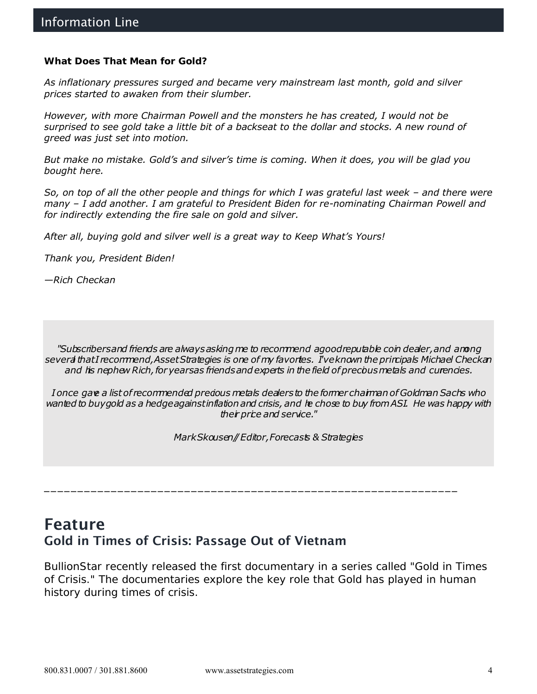*What Does That Mean for Gold?*

*As inflationary pressures surged and became very mainstream last month, gold and silver prices started to awaken from their slumber.*

*However, with more Chairman Powell and the monsters he has created, I would not be surprised to see gold take a little bit of a backseat to the dollar and stocks. A new round of greed was just set into motion.*

*But make no mistake. Gold's and silver's time is coming. When it does, you will be glad you bought here.*

*So, on top of all the other people and things for which I was grateful last week – and there were many – I add another. I am grateful to President Biden for re-nominating Chairman Powell and for indirectly extending the fire sale on gold and silver.*

*After all, buying gold and silver well is a great way to Keep What's Yours!*

*Thank you, President Biden!*

*—Rich Checkan*

*"Subscribers and friends are always asking me to recommend a good reputable coin dealer, and among several that I recommend, Asset Strategies is one of my favorites. I've known the principals Michael Checkan*  and his nephew Rich, for yearsas friends and experts in the field of precous metals and curencies.

*I once gave a list of recommended precious metals dealers to the former chairman of Goldman Sachs who wanted to buy gold as a hedge against inflation and crisis, and he chose to buy from ASI. He was happy with their price and service."*

*Mark Skousen// Editor, Forecasts & Strategies*

\_\_\_\_\_\_\_\_\_\_\_\_\_\_\_\_\_\_\_\_\_\_\_\_\_\_\_\_\_\_\_\_\_\_\_\_\_\_\_\_\_\_\_\_\_\_\_\_\_\_\_\_\_\_\_\_\_\_\_\_\_\_

# Feature Gold in Times of Crisis: Passage Out of Vietnam

BullionStar recently released the first documentary in a series called "Gold in Times of Crisis." The documentaries explore the key role that Gold has played in human history during times of crisis.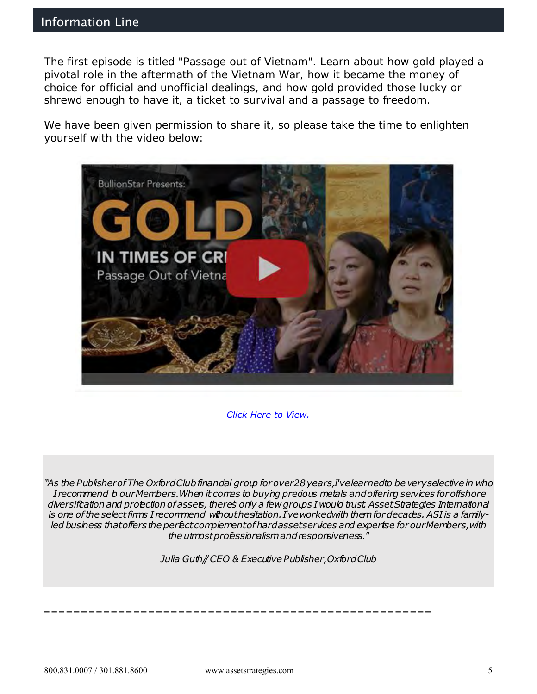### Information Line

The first episode is titled "Passage out of Vietnam". Learn about how gold played a pivotal role in the aftermath of the Vietnam War, how it became the money of choice for official and unofficial dealings, and how gold provided those lucky or shrewd enough to have it, a ticket to survival and a passage to freedom.

We have been given permission to share it, so please take the time to enlighten yourself with the video below:



*[Click Here to View.](https://www.youtube.com/watch?v=PqMzZu31zBY)*

*"As the Publisher of The Oxford Club financial group for over 28 years, I've learned to be very selective in who I recommend to our Members. When it comes to buying precious metals and offering services for offshore diversification and protection of assets, there's only a few groups I would trust. Asset Strategies International is one of the select firms I recommend without hesitation. I've worked with them for decades. ASI is a familyled business that offers the perfect complement of hard asset services and expertise for our Members, with the utmost professionalism andresponsiveness."*

*Julia Guth// CEO & Executive Publisher, Oxford Club*

**\_\_\_\_\_\_\_\_\_\_\_\_\_\_\_\_\_\_\_\_\_\_\_\_\_\_\_\_\_\_\_\_\_\_\_\_\_\_\_\_\_\_\_\_\_\_\_\_\_\_\_\_**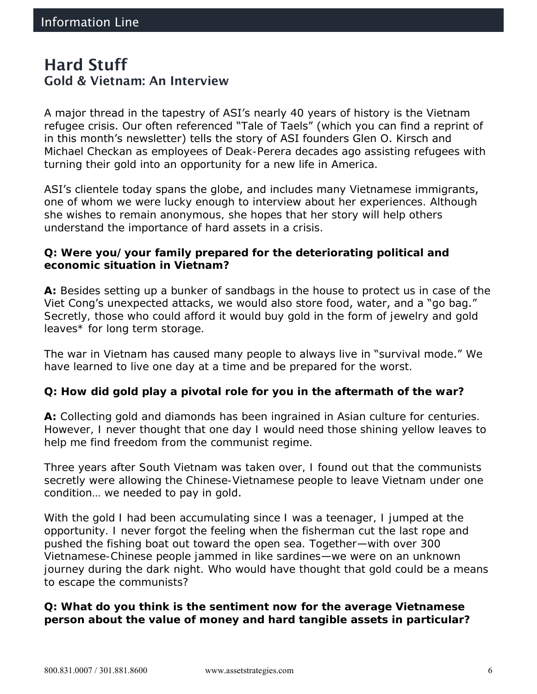# Hard Stuff Gold & Vietnam: An Interview

A major thread in the tapestry of ASI's nearly 40 years of history is the Vietnam refugee crisis. Our often referenced "Tale of Taels" (which you can find a reprint of in this month's newsletter) tells the story of ASI founders Glen O. Kirsch and Michael Checkan as employees of Deak-Perera decades ago assisting refugees with turning their gold into an opportunity for a new life in America.

ASI's clientele today spans the globe, and includes many Vietnamese immigrants, one of whom we were lucky enough to interview about her experiences. Although she wishes to remain anonymous, she hopes that her story will help others understand the importance of hard assets in a crisis.

**Q: Were you/your family prepared for the deteriorating political and economic situation in Vietnam?** 

**A:** Besides setting up a bunker of sandbags in the house to protect us in case of the Viet Cong's unexpected attacks, we would also store food, water, and a "go bag." Secretly, those who could afford it would buy gold in the form of jewelry and gold leaves\* for long term storage.

The war in Vietnam has caused many people to always live in "survival mode." We have learned to live one day at a time and be prepared for the worst.

**Q: How did gold play a pivotal role for you in the aftermath of the war?** 

**A:** Collecting gold and diamonds has been ingrained in Asian culture for centuries. However, I never thought that one day I would need those shining yellow leaves to help me find freedom from the communist regime.

Three years after South Vietnam was taken over, I found out that the communists secretly were allowing the Chinese-Vietnamese people to leave Vietnam under one condition… we needed to pay in gold.

With the gold I had been accumulating since I was a teenager, I jumped at the opportunity. I never forgot the feeling when the fisherman cut the last rope and pushed the fishing boat out toward the open sea. Together—with over 300 Vietnamese-Chinese people jammed in like sardines—we were on an unknown journey during the dark night. Who would have thought that gold could be a means to escape the communists?

**Q: What do you think is the sentiment now for the average Vietnamese person about the value of money and hard tangible assets in particular?**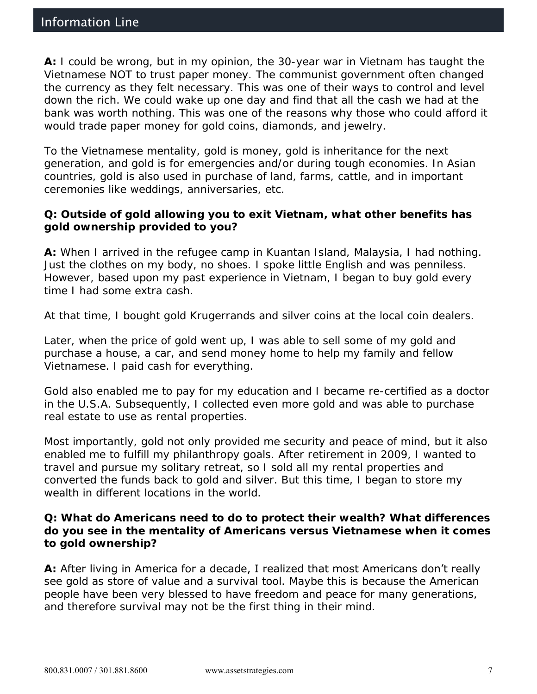**A:** I could be wrong, but in my opinion, the 30-year war in Vietnam has taught the Vietnamese NOT to trust paper money. The communist government often changed the currency as they felt necessary. This was one of their ways to control and level down the rich. We could wake up one day and find that all the cash we had at the bank was worth nothing. This was one of the reasons why those who could afford it would trade paper money for gold coins, diamonds, and jewelry.

To the Vietnamese mentality, gold is money, gold is inheritance for the next generation, and gold is for emergencies and/or during tough economies. In Asian countries, gold is also used in purchase of land, farms, cattle, and in important ceremonies like weddings, anniversaries, etc.

**Q: Outside of gold allowing you to exit Vietnam, what other benefits has gold ownership provided to you?** 

**A:** When I arrived in the refugee camp in Kuantan Island, Malaysia, I had nothing. Just the clothes on my body, no shoes. I spoke little English and was penniless. However, based upon my past experience in Vietnam, I began to buy gold every time I had some extra cash.

At that time, I bought gold Krugerrands and silver coins at the local coin dealers.

Later, when the price of gold went up, I was able to sell some of my gold and purchase a house, a car, and send money home to help my family and fellow Vietnamese. I paid cash for everything.

Gold also enabled me to pay for my education and I became re-certified as a doctor in the U.S.A. Subsequently, I collected even more gold and was able to purchase real estate to use as rental properties.

Most importantly, gold not only provided me security and peace of mind, but it also enabled me to fulfill my philanthropy goals. After retirement in 2009, I wanted to travel and pursue my solitary retreat, so I sold all my rental properties and converted the funds back to gold and silver. But this time, I began to store my wealth in different locations in the world.

**Q: What do Americans need to do to protect their wealth? What differences do you see in the mentality of Americans versus Vietnamese when it comes to gold ownership?** 

**A:** After living in America for a decade, I realized that most Americans don't really see gold as store of value and a survival tool. Maybe this is because the American people have been very blessed to have freedom and peace for many generations, and therefore survival may not be the first thing in their mind.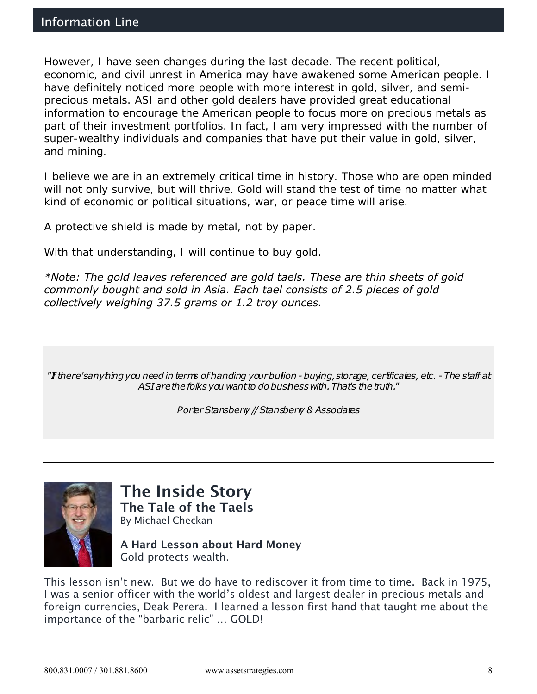However, I have seen changes during the last decade. The recent political, economic, and civil unrest in America may have awakened some American people. I have definitely noticed more people with more interest in gold, silver, and semiprecious metals. ASI and other gold dealers have provided great educational information to encourage the American people to focus more on precious metals as part of their investment portfolios. In fact, I am very impressed with the number of super-wealthy individuals and companies that have put their value in gold, silver, and mining.

I believe we are in an extremely critical time in history. Those who are open minded will not only survive, but will thrive. Gold will stand the test of time no matter what kind of economic or political situations, war, or peace time will arise.

A protective shield is made by metal, not by paper.

With that understanding, I will continue to buy gold.

*\*Note: The gold leaves referenced are gold taels. These are thin sheets of gold commonly bought and sold in Asia. Each tael consists of 2.5 pieces of gold collectively weighing 37.5 grams or 1.2 troy ounces.*

*"If there's anything you need in terms of handling your bullion -buying, storage, certificates, etc. -The staff at ASI are the folks you want to do business with. That's the truth."*

*Porter Stansberry // Stansberry & Associates*



The Inside Story The Tale of the Taels By Michael Checkan

A Hard Lesson about Hard Money Gold protects wealth.

This lesson isn't new. But we do have to rediscover it from time to time. Back in 1975, I was a senior officer with the world's oldest and largest dealer in precious metals and foreign currencies, Deak-Perera. I learned a lesson first-hand that taught me about the importance of the "barbaric relic" … GOLD!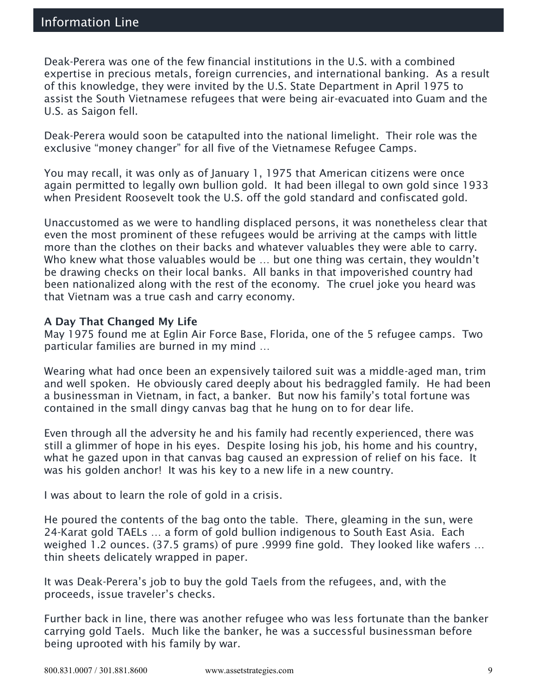Deak-Perera was one of the few financial institutions in the U.S. with a combined expertise in precious metals, foreign currencies, and international banking. As a result of this knowledge, they were invited by the U.S. State Department in April 1975 to assist the South Vietnamese refugees that were being air-evacuated into Guam and the U.S. as Saigon fell.

Deak-Perera would soon be catapulted into the national limelight. Their role was the exclusive "money changer" for all five of the Vietnamese Refugee Camps.

You may recall, it was only as of January 1, 1975 that American citizens were once again permitted to legally own bullion gold. It had been illegal to own gold since 1933 when President Roosevelt took the U.S. off the gold standard and confiscated gold.

Unaccustomed as we were to handling displaced persons, it was nonetheless clear that even the most prominent of these refugees would be arriving at the camps with little more than the clothes on their backs and whatever valuables they were able to carry. Who knew what those valuables would be … but one thing was certain, they wouldn't be drawing checks on their local banks. All banks in that impoverished country had been nationalized along with the rest of the economy. The cruel joke you heard was that Vietnam was a true cash and carry economy.

### A Day That Changed My Life

May 1975 found me at Eglin Air Force Base, Florida, one of the 5 refugee camps. Two particular families are burned in my mind …

Wearing what had once been an expensively tailored suit was a middle-aged man, trim and well spoken. He obviously cared deeply about his bedraggled family. He had been a businessman in Vietnam, in fact, a banker. But now his family's total fortune was contained in the small dingy canvas bag that he hung on to for dear life.

Even through all the adversity he and his family had recently experienced, there was still a glimmer of hope in his eyes. Despite losing his job, his home and his country, what he gazed upon in that canvas bag caused an expression of relief on his face. It was his golden anchor! It was his key to a new life in a new country.

I was about to learn the role of gold in a crisis.

He poured the contents of the bag onto the table. There, gleaming in the sun, were 24-Karat gold TAELs … a form of gold bullion indigenous to South East Asia. Each weighed 1.2 ounces. (37.5 grams) of pure .9999 fine gold. They looked like wafers … thin sheets delicately wrapped in paper.

It was Deak-Perera's job to buy the gold Taels from the refugees, and, with the proceeds, issue traveler's checks.

Further back in line, there was another refugee who was less fortunate than the banker carrying gold Taels. Much like the banker, he was a successful businessman before being uprooted with his family by war.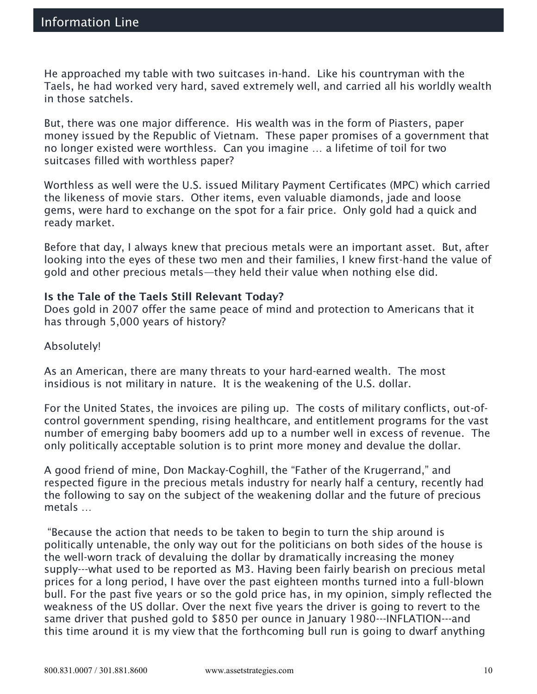He approached my table with two suitcases in-hand. Like his countryman with the Taels, he had worked very hard, saved extremely well, and carried all his worldly wealth in those satchels.

But, there was one major difference. His wealth was in the form of Piasters, paper money issued by the Republic of Vietnam. These paper promises of a government that no longer existed were worthless. Can you imagine … a lifetime of toil for two suitcases filled with worthless paper?

Worthless as well were the U.S. issued Military Payment Certificates (MPC) which carried the likeness of movie stars. Other items, even valuable diamonds, jade and loose gems, were hard to exchange on the spot for a fair price. Only gold had a quick and ready market.

Before that day, I always knew that precious metals were an important asset. But, after looking into the eyes of these two men and their families, I knew first-hand the value of gold and other precious metals—they held their value when nothing else did.

### Is the Tale of the Taels Still Relevant Today?

Does gold in 2007 offer the same peace of mind and protection to Americans that it has through 5,000 years of history?

Absolutely!

As an American, there are many threats to your hard-earned wealth. The most insidious is not military in nature. It is the weakening of the U.S. dollar.

For the United States, the invoices are piling up. The costs of military conflicts, out-ofcontrol government spending, rising healthcare, and entitlement programs for the vast number of emerging baby boomers add up to a number well in excess of revenue. The only politically acceptable solution is to print more money and devalue the dollar.

A good friend of mine, Don Mackay-Coghill, the "Father of the Krugerrand," and respected figure in the precious metals industry for nearly half a century, recently had the following to say on the subject of the weakening dollar and the future of precious metals …

"Because the action that needs to be taken to begin to turn the ship around is politically untenable, the only way out for the politicians on both sides of the house is the well-worn track of devaluing the dollar by dramatically increasing the money supply---what used to be reported as M3. Having been fairly bearish on precious metal prices for a long period, I have over the past eighteen months turned into a full-blown bull. For the past five years or so the gold price has, in my opinion, simply reflected the weakness of the US dollar. Over the next five years the driver is going to revert to the same driver that pushed gold to \$850 per ounce in January 1980---INFLATION---and this time around it is my view that the forthcoming bull run is going to dwarf anything